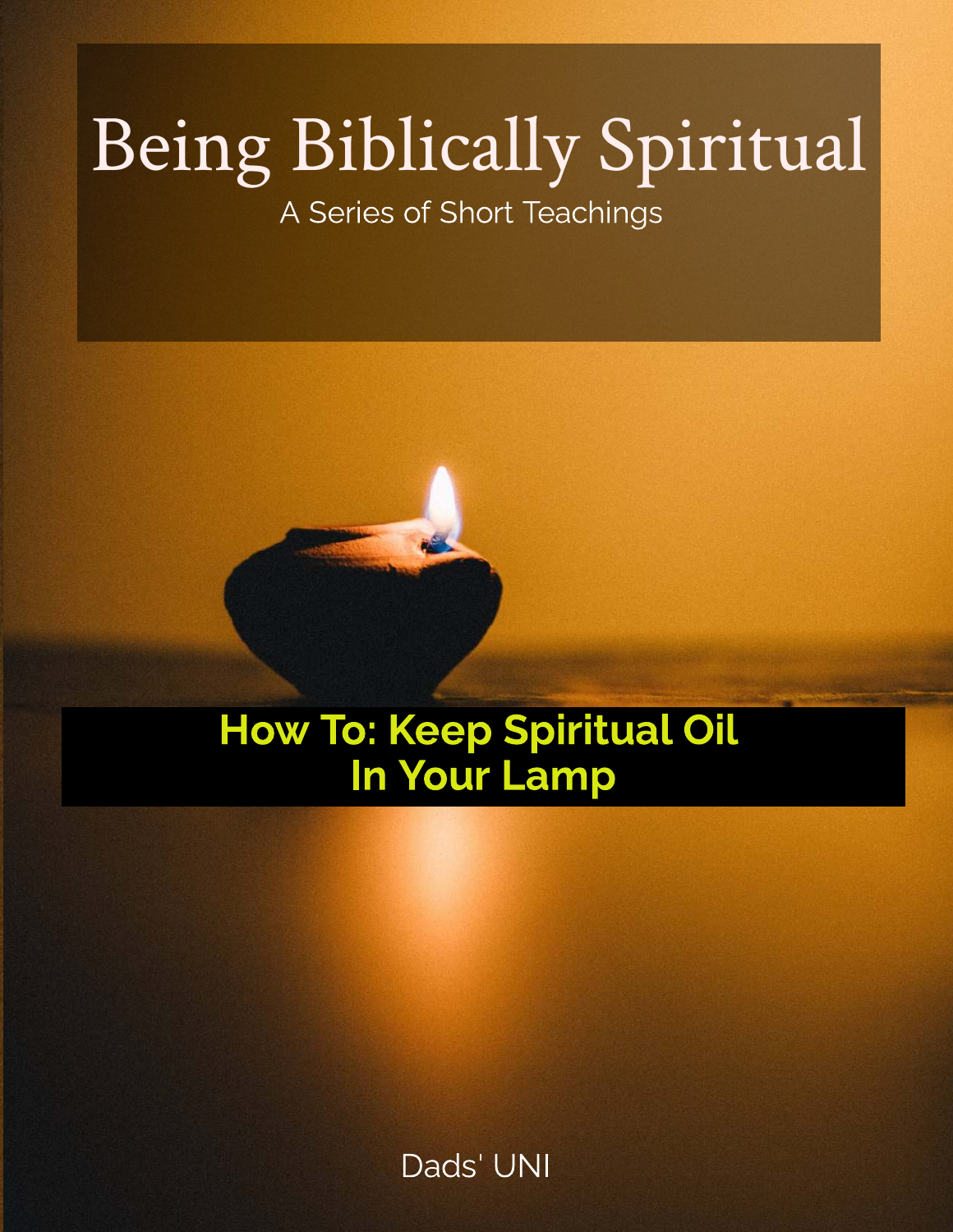# Being Biblically Spiritual

A Series of Short Teachings



# How To: Keep Spiritual Oil In Your Lamp

Dads' UNI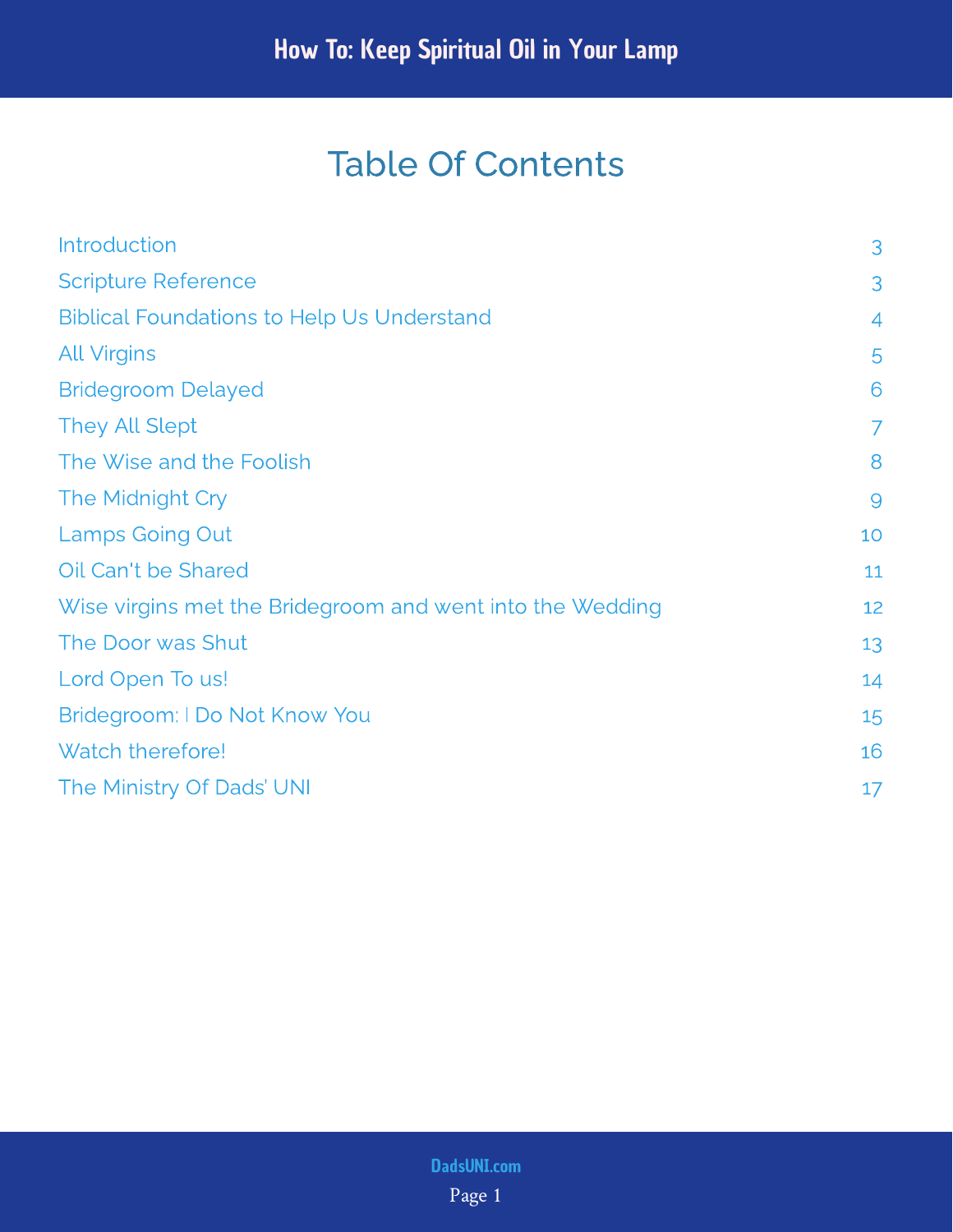## Table Of Contents

| <b>Introduction</b>                                       | 3              |
|-----------------------------------------------------------|----------------|
| <b>Scripture Reference</b>                                | 3              |
| <b>Biblical Foundations to Help Us Understand</b>         | 4              |
| <b>All Virgins</b>                                        | 5              |
| <b>Bridegroom Delayed</b>                                 | 6              |
| <b>They All Slept</b>                                     | $\overline{7}$ |
| The Wise and the Foolish                                  | 8              |
| The Midnight Cry                                          | $\overline{9}$ |
| <b>Lamps Going Out</b>                                    | 10             |
| Oil Can't be Shared                                       | 11             |
| Wise virgins met the Bridegroom and went into the Wedding | 12             |
| The Door was Shut                                         | 13             |
| Lord Open To us!                                          | 14             |
| Bridegroom: I Do Not Know You                             | 15             |
| Watch therefore!                                          | 16             |
| The Ministry Of Dads' UNI                                 | 17             |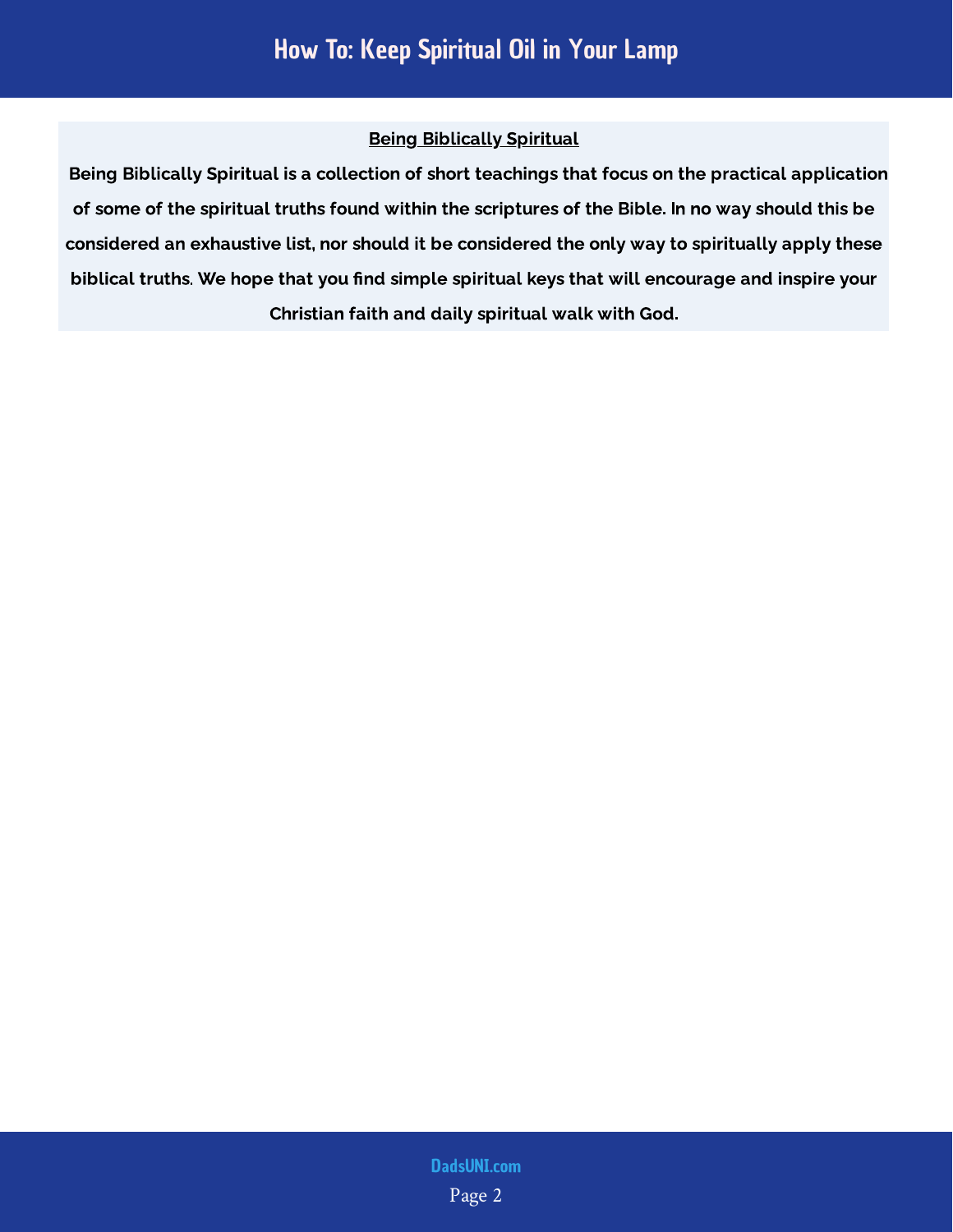#### Being Biblically Spiritual

 Being Biblically Spiritual is a collection of short teachings that focus on the practical application of some of the spiritual truths found within the scriptures of the Bible. In no way should this be considered an exhaustive list, nor should it be considered the only way to spiritually apply these biblical truths. We hope that you find simple spiritual keys that will encourage and inspire your Christian faith and daily spiritual walk with God.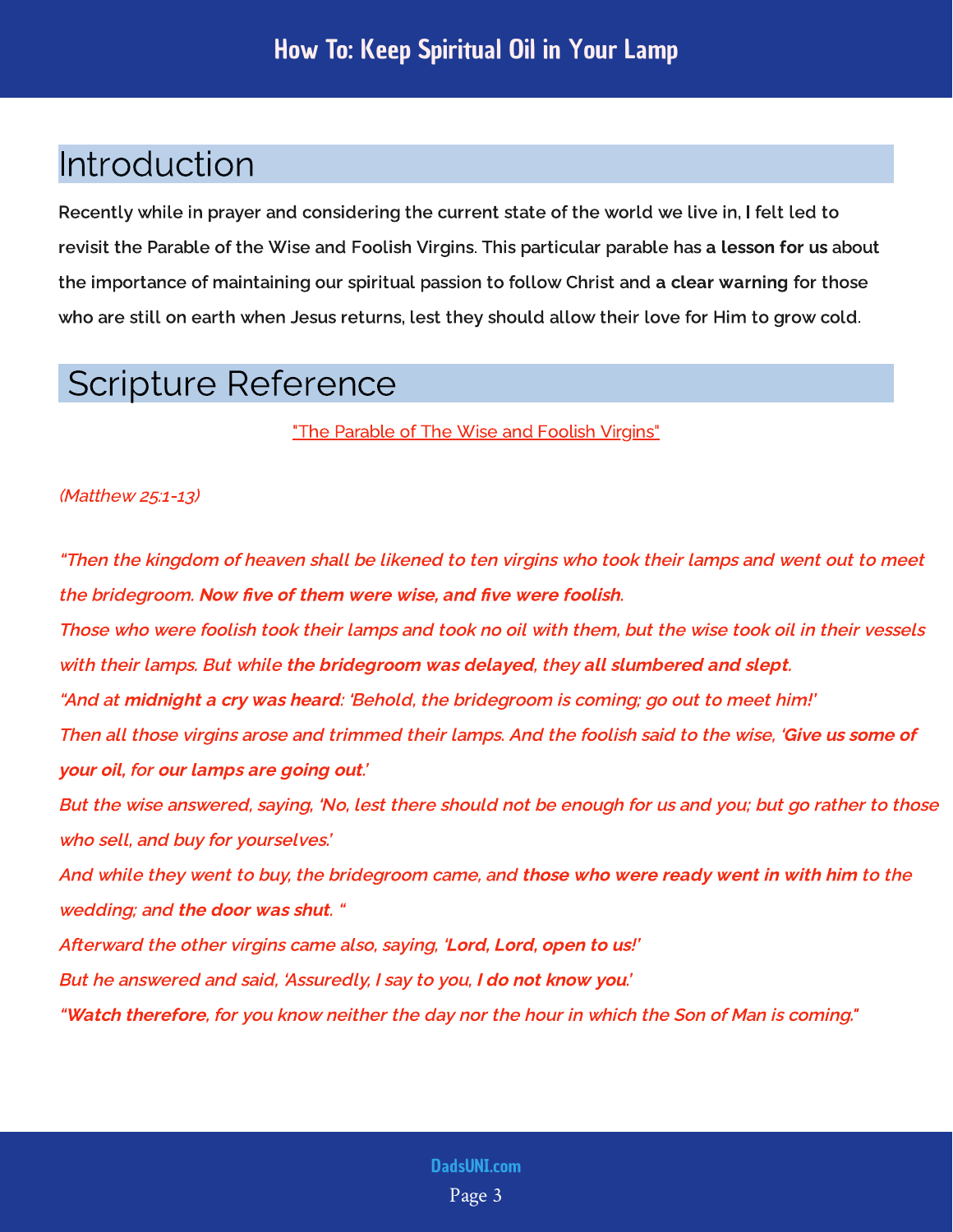#### <span id="page-3-0"></span>Introduction

Recently while in prayer and considering the current state of the world we live in, I felt led to revisit the Parable of the Wise and Foolish Virgins. This particular parable has a l<mark>esson for us</mark> about the importance of maintaining our spiritual passion to follow Christ and a clear warning for those who are still on earth when Jesus returns, lest they should allow their love for Him to grow cold.

#### <span id="page-3-1"></span>Scripture Reference

"The Parable of The Wise and Foolish Virgins"

(Matthew 25:1-13)

"Then the kingdom of heaven shall be likened to ten virgins who took their lamps and went out to meet the bridegroom. Now five of them were wise, and five were foolish.

Those who were foolish took their lamps and took no oil with them, but the wise took oil in their vessels with their lamps. But while the bridegroom was delayed, they all slumbered and slept. "And at **midnight a cry was heard**: 'Behold, the bridegroom is coming; go out to meet him!' Then all those virgins arose and trimmed their lamps. And the foolish said to the wise, ' Give us some of your oil, for our lamps are going out.'

But the wise answered, saying, 'No, lest there should not be enough for us and you; but go rather to those who sell, and buy for yourselves.'

And while they went to buy, the bridegroom came, and **those who were ready went in with him** to the wedding; and the door was shut. "

Afterward the other virgins came also, saying, 'Lord, Lord, open to us!'

But he answered and said, 'Assuredly, I say to you, **I do not know you**.'

"Watch therefore, for you know neither the day nor the hour in which the Son of Man is coming."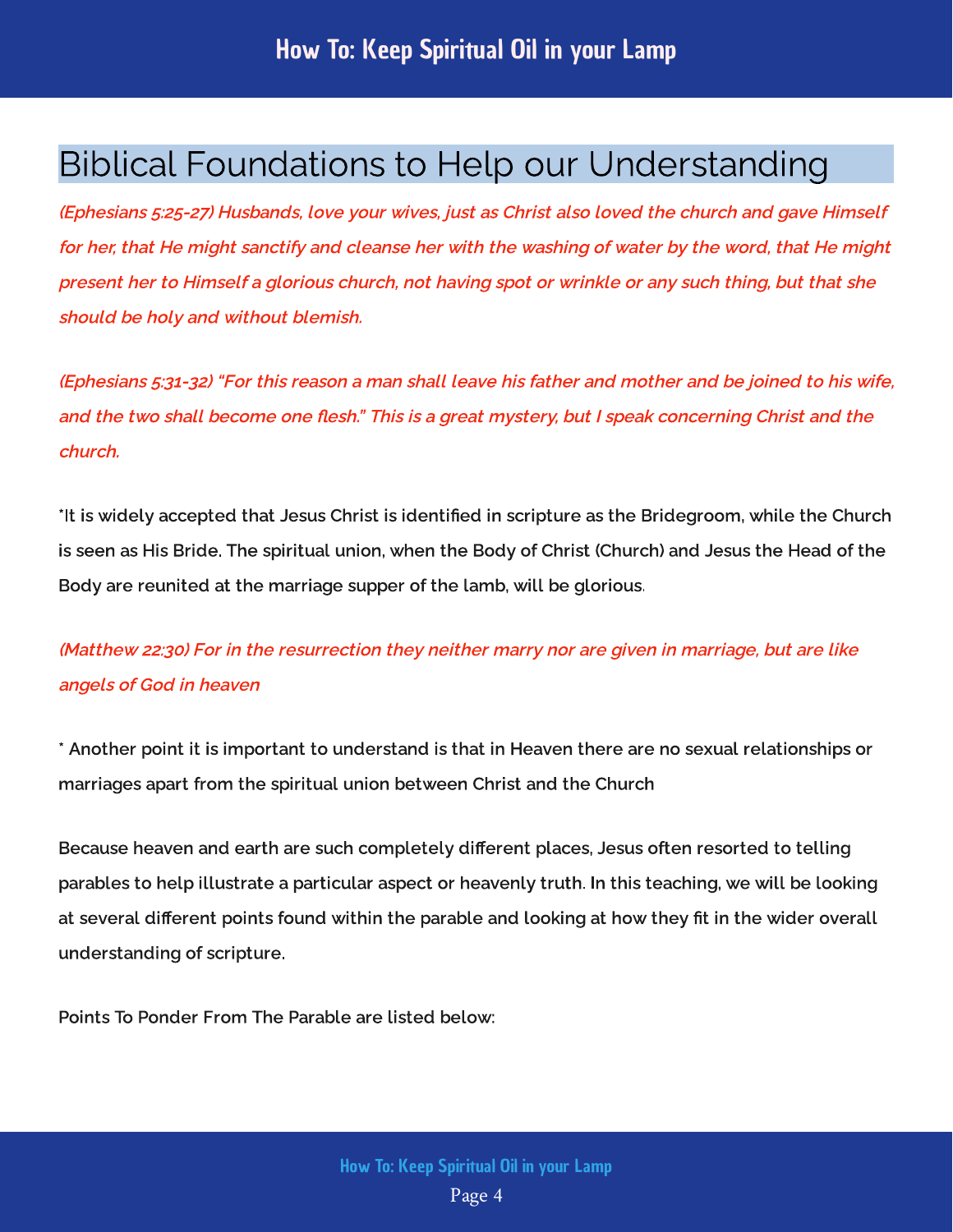#### <span id="page-4-0"></span>Biblical Foundations to Help our Understanding

(Ephesians 5:25-27) Husbands, love your wives, just as Christ also loved the church and gave Himself for her, that He might sanctify and cleanse her with the washing of water by the word, that He might present her to Himself a glorious church, not having spot or wrinkle or any such thing, but that she should be holy and without blemish.

(Ephesians 5:31-32) "For this reason a man shall leave his father and mother and be joined to his wife, and the two shall become one flesh." This is a great mystery, but I speak concerning Christ and the church.

\*It is widely accepted that Jesus Christ is identified in scripture as the Bridegroom, while the Church is seen as His Bride. The spiritual union, when the Body of Christ (Church) and Jesus the Head of the Body are reunited at the marriage supper of the lamb, will be glorious.

(Matthew 22:30) For in the resurrection they neither marry nor are given in marriage, but are like angels of God in heaven

\* Another point it is important to understand is that in Heaven there are no sexual relationships or marriages apart from the spiritual union between Christ and the Church

Because heaven and earth are such completely different places, Jesus often resorted to telling parables to help illustrate a particular aspect or heavenly truth. In this teaching, we will be looking at several different points found within the parable and looking at how they fit in the wider overall understanding of scripture.

Points To Ponder From The Parable are listed below: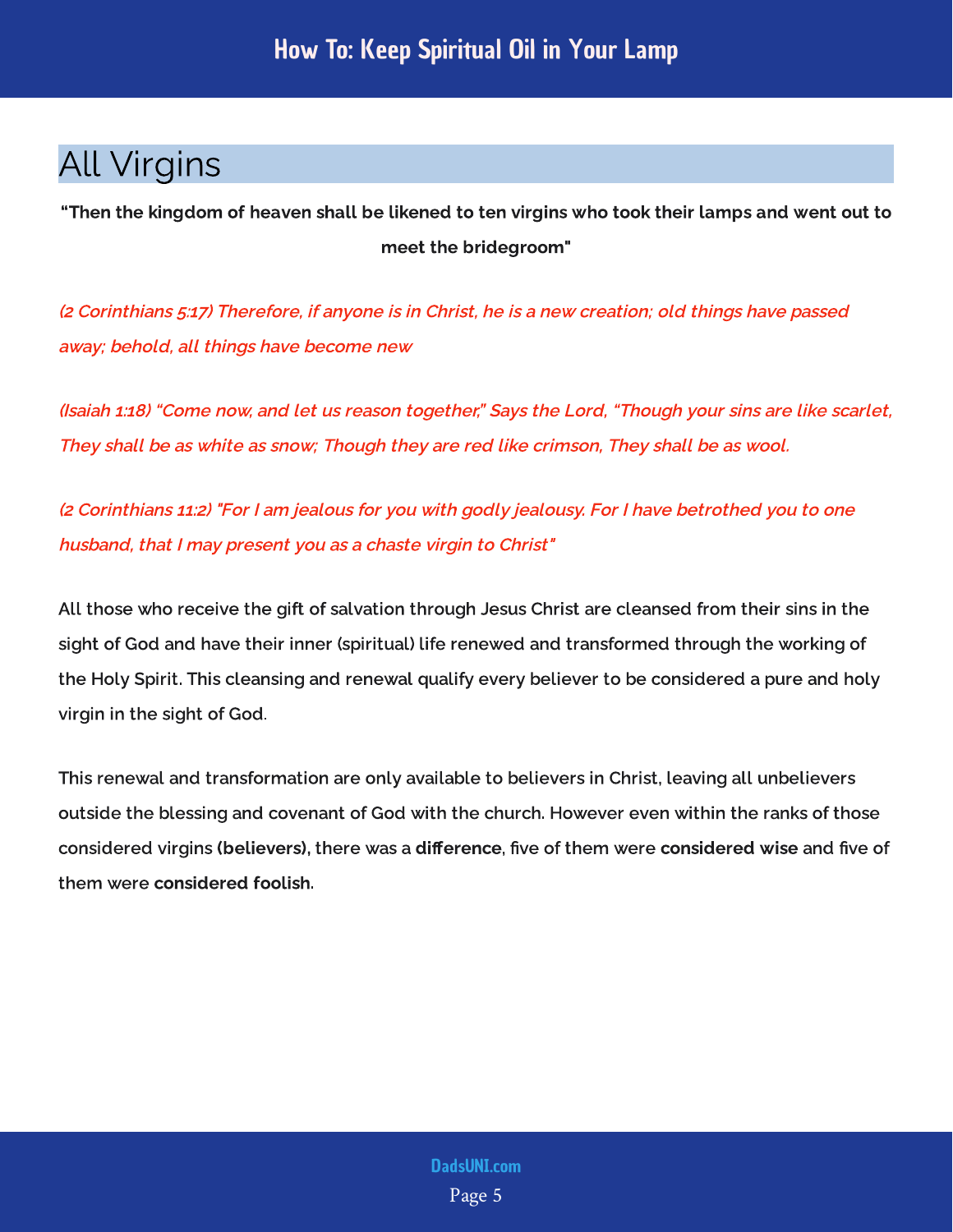#### <span id="page-5-0"></span>All Virgins

"Then the kingdom of heaven shall be likened to ten virgins who took their lamps and went out to meet the bridegroom"

(2 Corinthians 5:17) Therefore, if anyone is in Christ, he is a new creation; old things have passed away; behold, all things have become new

(Isaiah 1:18) "Come now, and let us reason together," Says the Lord, "Though your sins are like scarlet, They shall be as white as snow; Though they are red like crimson, They shall be as wool.

(2 Corinthians 11:2) "For I am jealous for you with godly jealousy. For I have betrothed you to one husband, that I may present you as a chaste virgin to Christ"

All those who receive the gift of salvation through Jesus Christ are cleansed from their sins in the sight of God and have their inner (spiritual) life renewed and transformed through the working of the Holy Spirit. This cleansing and renewal qualify every believer to be considered a pure and holy virgin in the sight of God.

This renewal and transformation are only available to believers in Christ, leaving all unbelievers outside the blessing and covenant of God with the church. However even within the ranks of those considered virgins there was a , were was a military fire and very material very and very material was and considered virgins (believers), there was a difference, five of them were considered wise and five of them were considered foolish.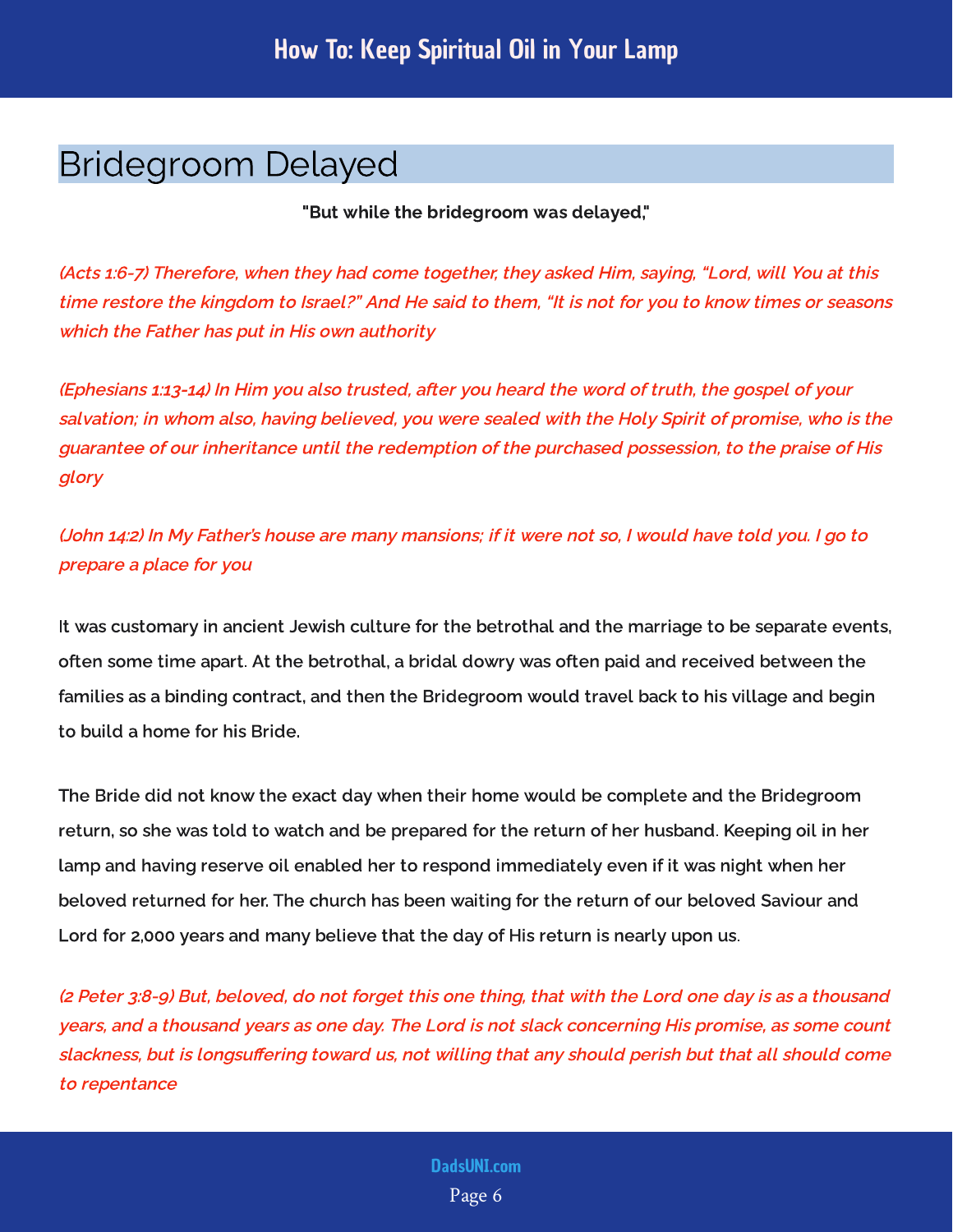#### <span id="page-6-0"></span>Bridegroom Delayed

"But while the bridegroom was delayed,"

(Acts 1:6-7) Therefore, when they had come together, they asked Him, saying, "Lord, will You at this time restore the kingdom to Israel?" And He said to them, "It is not for you to know times or seasons which the Father has put in His own authority

(Ephesians 1:13-14) In Him you also trusted, after you heard the word of truth, the gospel of your salvation; in whom also, having believed, you were sealed with the Holy Spirit of promise, who is the guarantee of our inheritance until the redemption of the purchased possession, to the praise of His glory

(John 14:2) In My Father's house are many mansions; if it were not so, I would have told you. I go to prepare a place for you

It was customary in ancient Jewish culture for the betrothal and the marriage to be separate events, often some time apart. At the betrothal, a bridal dowry was often paid and received between the families as a binding contract, and then the Bridegroom would travel back to his village and begin to build a home for his Bride.

The Bride did not know the exact day when their home would be complete and the Bridegroom return, so she was told to watch and be prepared for the return of her husband. Keeping oil in her lamp and having reserve oil enabled her to respond immediately even if it was night when her beloved returned for her. The church has been waiting for the return of our beloved Saviour and Lord for 2,000 years and many believe that the day of His return is nearly upon us.

(2 Peter 3:8-9) But, beloved, do not forget this one thing, that with the Lord one day is as a thousand years, and a thousand years as one day. The Lord is not slack concerning His promise, as some count slackness, but is longsuffering toward us, not willing that any should perish but that all should come to repentance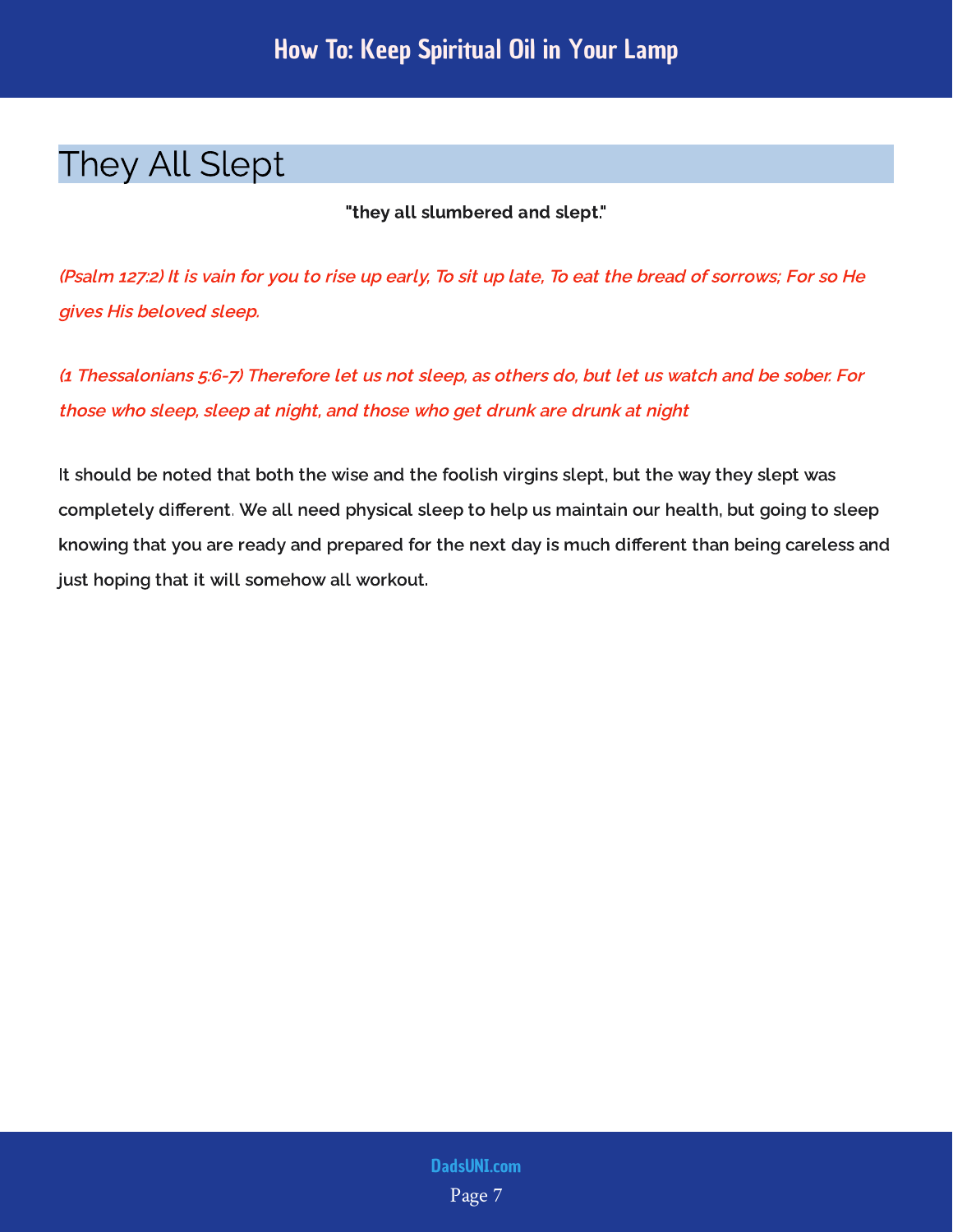#### <span id="page-7-0"></span>They All Slept

"they all slumbered and slept."

(Psalm 127:2) It is vain for you to rise up early, To sit up late, To eat the bread of sorrows; For so He gives His beloved sleep.

(1 Thessalonians 5:6-7) Therefore let us not sleep, as others do, but let us watch and be sober. For those who sleep, sleep at night, and those who get drunk are drunk at night

It should be noted that both the wise and the foolish virgins slept, but the way they slept was completely different. We all need physical sleep to help us maintain our health, but going to sleep knowing that you are ready and prepared for the next day is much different than being careless and just hoping that it will somehow all workout.

> Page 7 [DadsUNI.com](https://www.dadsuni.com/)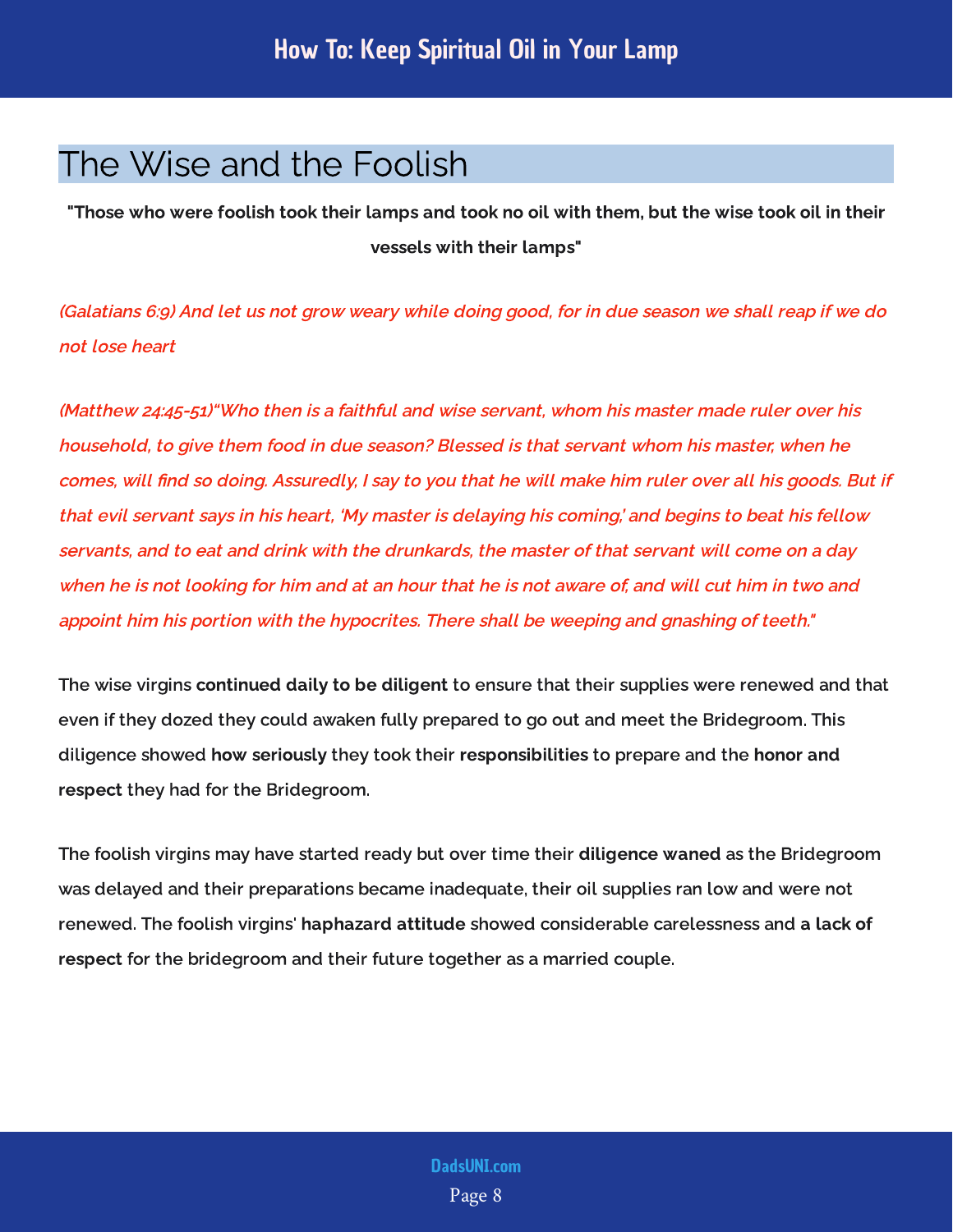#### <span id="page-8-0"></span>The Wise and the Foolish

"Those who were foolish took their lamps and took no oil with them, but the wise took oil in their vessels with their lamps"

(Galatians 6:9) And let us not grow weary while doing good, for in due season we shall reap if we do not lose heart

(Matthew 24:45-51)"Who then is a faithful and wise servant, whom his master made ruler over his household, to give them food in due season? Blessed is that servant whom his master, when he comes, will find so doing. Assuredly, I say to you that he will make him ruler over all his goods. But if that evil servant says in his heart, 'My master is delaying his coming,' and begins to beat his fellow servants, and to eat and drink with the drunkards, the master of that servant will come on a day when he is not looking for him and at an hour that he is not aware of, and will cut him in two and appoint him his portion with the hypocrites. There shall be weeping and gnashing of teeth."

The wise virgins to ensure that  $\frac{1}{2}$  to the angles of the that that their supplies were referred and that even if they dozed they could awaken fully prepared to go out and meet the Bridegroom. This diligence showed they took their to prepare and the they had for the Bridegroom. continued daily to be diligent how seriously they took their responsibilities to prepare and the honor and respect

The foolish virgins may have started ready but over time their as the Bridegroom was delayed and their preparations became inadequate, their oil supplies ran low and were not renewed. The foolish virgins' <mark>haphazard attitude</mark> showed considerable carelessness and <mark>a lack of</mark> for the bridegroom and their future together as a married couple. diligence waned respect for the bridegroom and their future together as a married couple.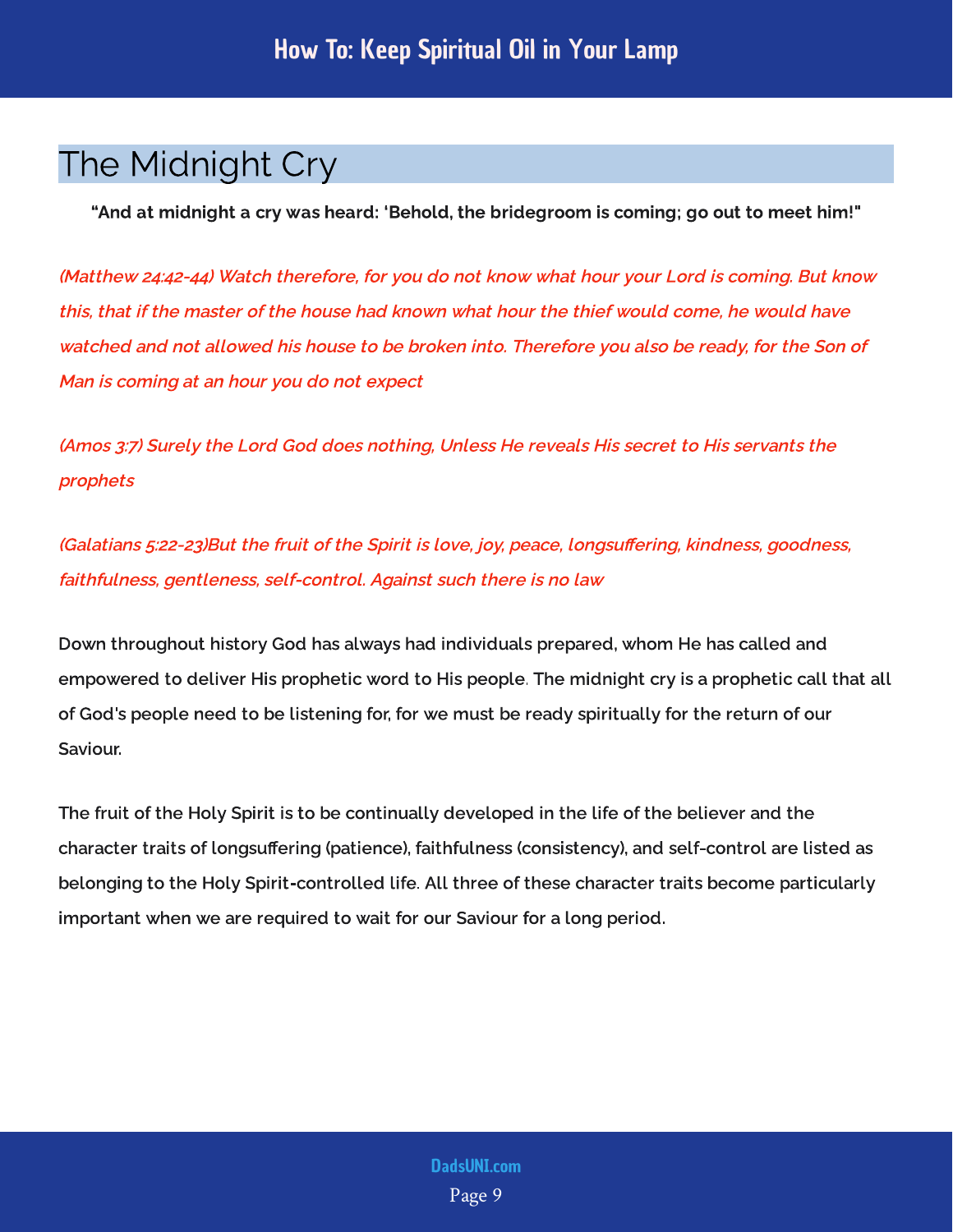#### <span id="page-9-0"></span>The Midnight Cry

"And at midnight a cry was heard: 'Behold, the bridegroom is coming; go out to meet him!"

(Matthew 24:42-44) Watch therefore, for you do not know what hour your Lord is coming. But know this, that if the master of the house had known what hour the thief would come, he would have watched and not allowed his house to be broken into. Therefore you also be ready, for the Son of Man is coming at an hour you do not expect

(Amos 3:7) Surely the Lord God does nothing, Unless He reveals His secret to His servants the prophets

(Galatians 5:22-23)But the fruit of the Spirit is love, joy, peace, longsuffering, kindness, goodness, faithfulness, gentleness, self-control. Against such there is no law

Down throughout history God has always had individuals prepared, whom He has called and empowered to deliver His prophetic word to His people. The midnight cry is a prophetic call that all of God's people need to be listening for, for we must be ready spiritually for the return of our Saviour.

The fruit of the Holy Spirit is to be continually developed in the life of the believer and the character traits of longsuering (patience), faithfulness (consistency), and self-control are listed as belonging to the Holy Spirit-controlled life. All three of these character traits become particularly important when we are required to wait for our Saviour for a long period.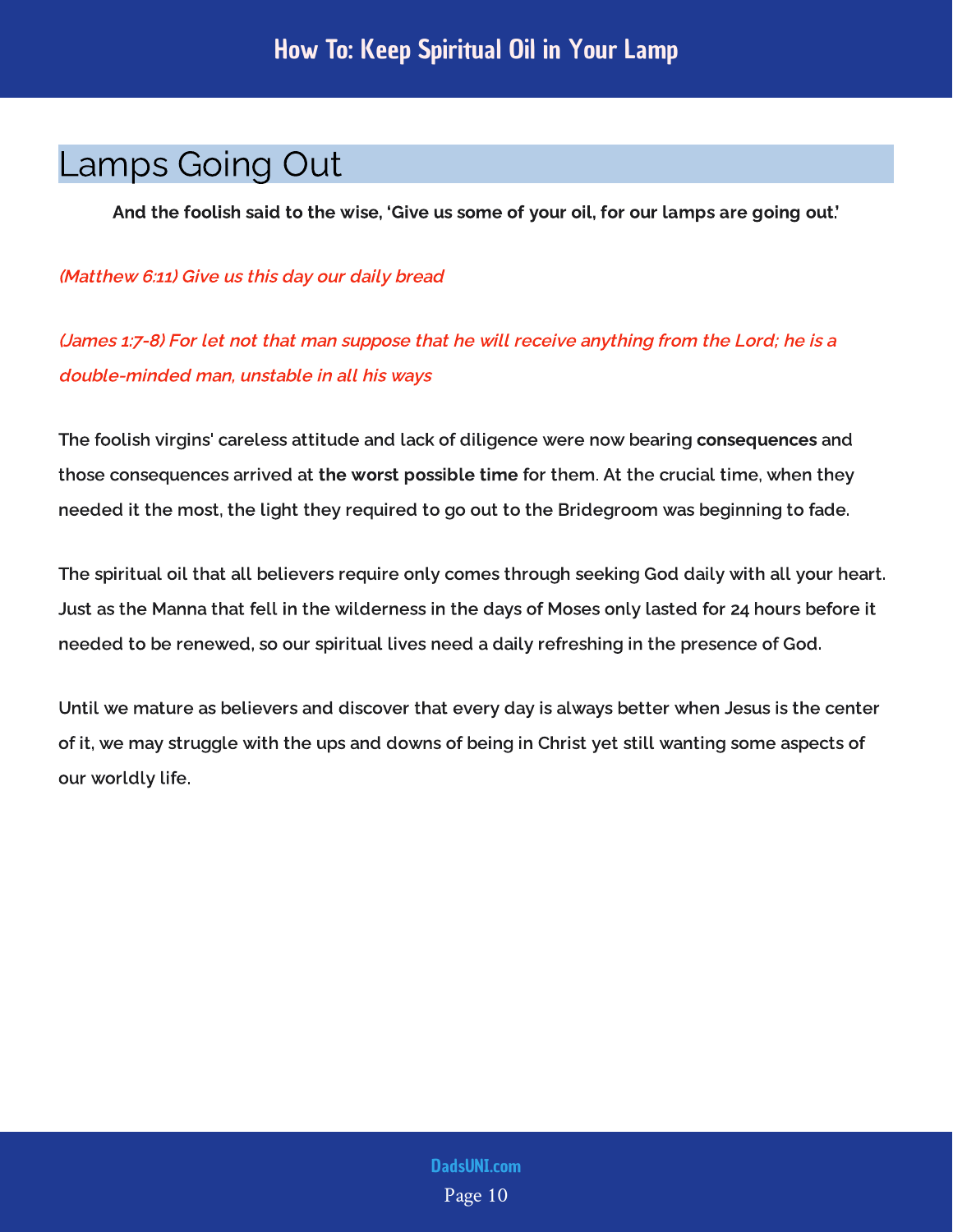#### <span id="page-10-0"></span>Lamps Going Out

And the foolish said to the wise, 'Give us some of your oil, for our lamps are going out.'

(Matthew 6:11) Give us this day our daily bread

(James 1:7-8) For let not that man suppose that he will receive anything from the Lord; he is a double-minded man, unstable in all his ways

The foolish virgins' careless attitude and lack of diligence were now bearing **consequences** and<br> the consequences arrived at the worst possible at the crucial time, when they are  $\mathcal{I}_{\mathcal{I}}$ needed it the most, the light they required to go out to the Bridegroom was beginning to fade.

The spiritual oil that all believers require only comes through seeking God daily with all your heart. Just as the Manna that fell in the wilderness in the days of Moses only lasted for 24 hours before it needed to be renewed, so our spiritual lives need a daily refreshing in the presence of God.

Until we mature as believers and discover that every day is always better when Jesus is the center of it, we may struggle with the ups and downs of being in Christ yet still wanting some aspects of our worldly life.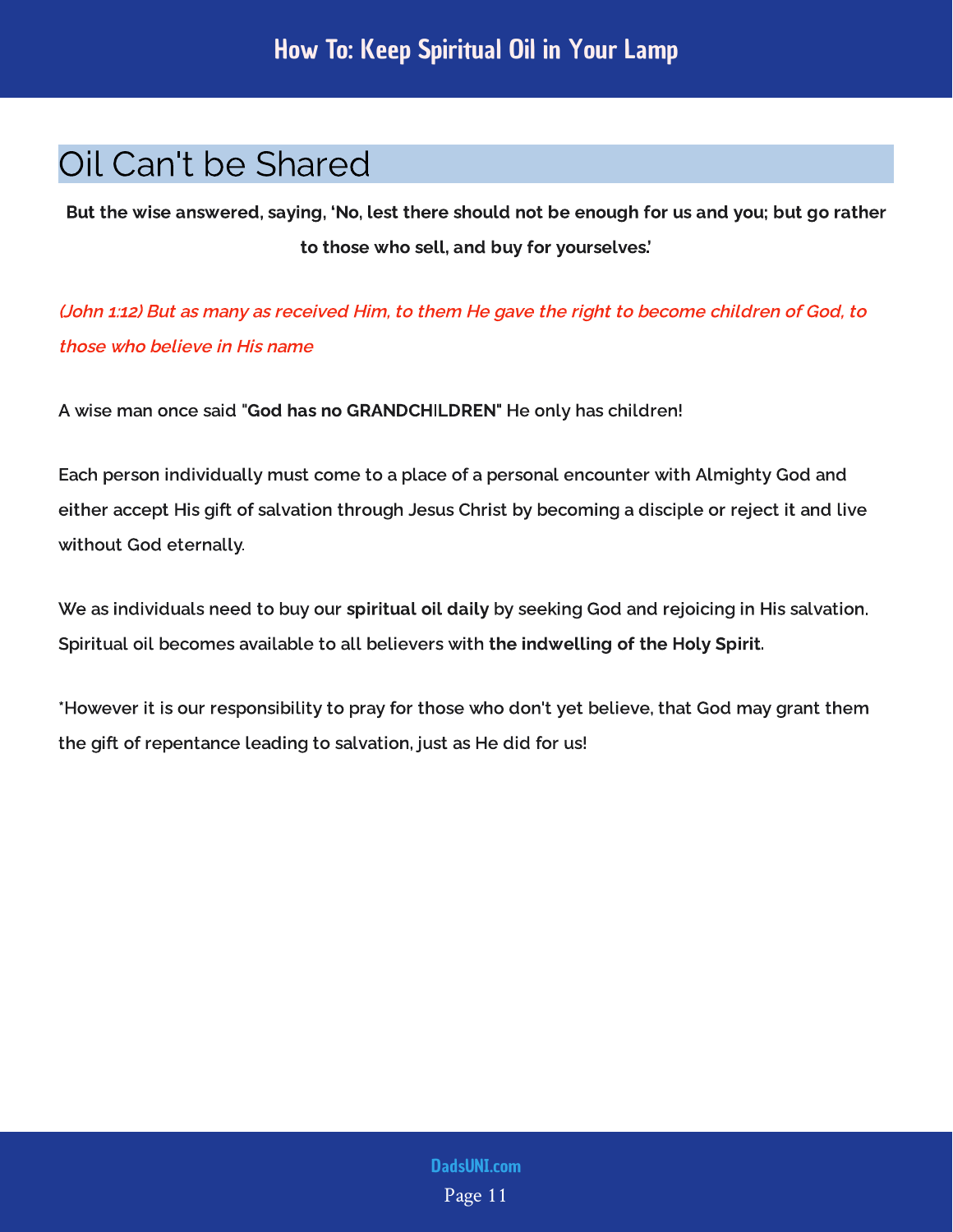## <span id="page-11-0"></span>Oil Can't be Shared

But the wise answered, saying, 'No, lest there should not be enough for us and you; but go rather to those who sell, and buy for yourselves.'

(John 1:12) But as many as received Him, to them He gave the right to become children of God, to those who believe in His name

A wise man once said "God has no GRANDCHILDREN" He only has children!

Each person individually must come to a place of a personal encounter with Almighty God and either accept His gift of salvation through Jesus Christ by becoming a disciple or reject it and live without God eternally.

We as individuals need to buy our spiritual oil daily by seeking God and rejoicing in His salvation. Spiritual oil becomes available to all believers with the indwelling of the Holy Spirit.

\*However it is our responsibility to pray for those who don't yet believe, that God may grant them the gift of repentance leading to salvation, just as He did for us!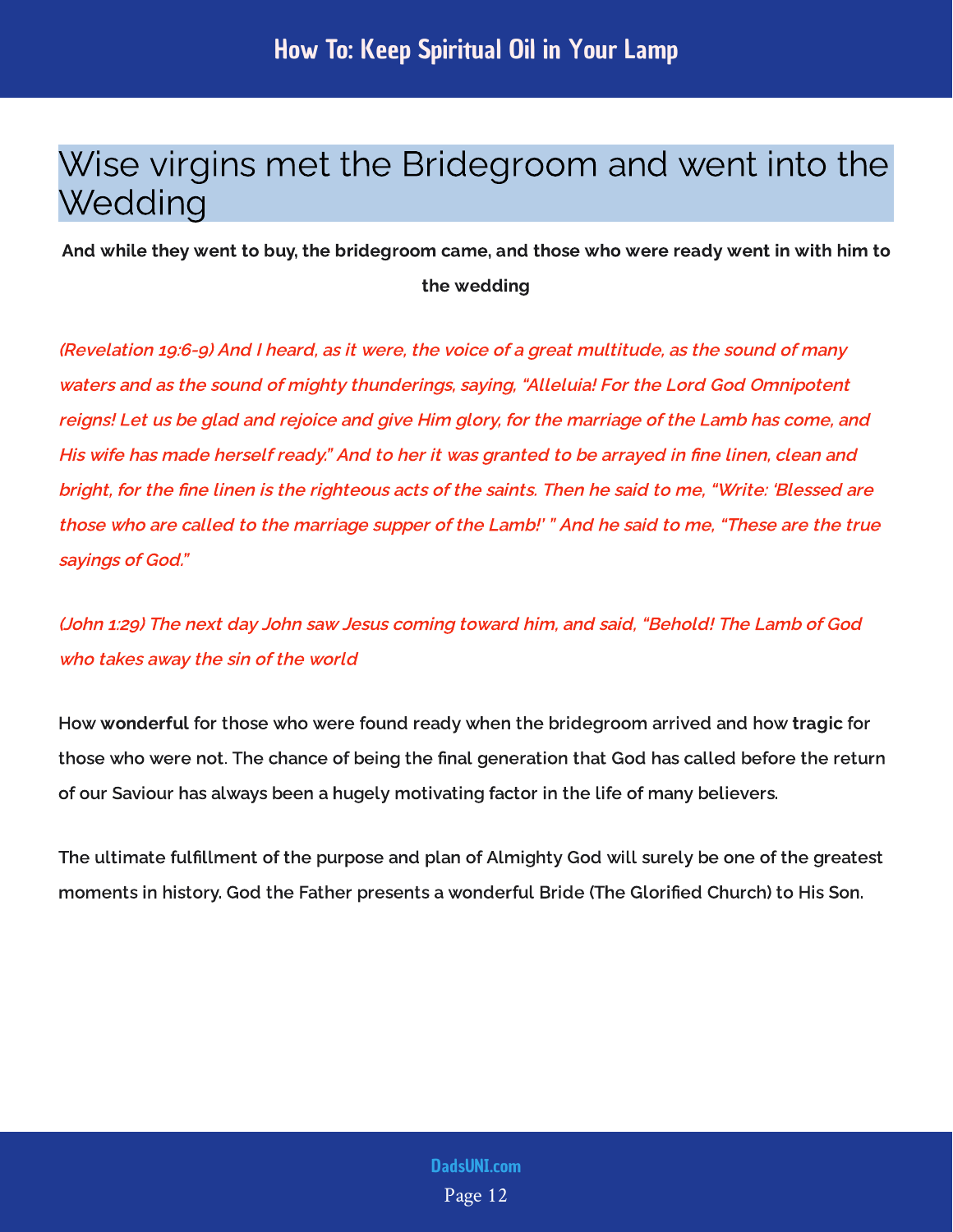#### <span id="page-12-0"></span>Wise virgins met the Bridegroom and went into the **Wedding**

And while they went to buy, the bridegroom came, and those who were ready went in with him to the wedding

(Revelation 19:6-9) And I heard, as it were, the voice of a great multitude, as the sound of many waters and as the sound of mighty thunderings, saying, "Alleluia! For the Lord God Omnipotent reigns! Let us be glad and rejoice and give Him glory, for the marriage of the Lamb has come, and His wife has made herself ready." And to her it was granted to be arrayed in fine linen, clean and bright, for the fine linen is the righteous acts of the saints. Then he said to me, "Write: 'Blessed are those who are called to the marriage supper of the Lamb!' " And he said to me, "These are the true sayings of God."

(John 1:29) The next day John saw Jesus coming toward him, and said, "Behold! The Lamb of God who takes away the sin of the world

How wonderful for those who were found ready when the bridegroom arrived and how tragic for those who were not. The chance of being the final generation that God has called before the return of our Saviour has always been a hugely motivating factor in the life of many believers.

The ultimate fulfillment of the purpose and plan of Almighty God will surely be one of the greatest moments in history. God the Father presents a wonderful Bride (The Glorified Church) to His Son.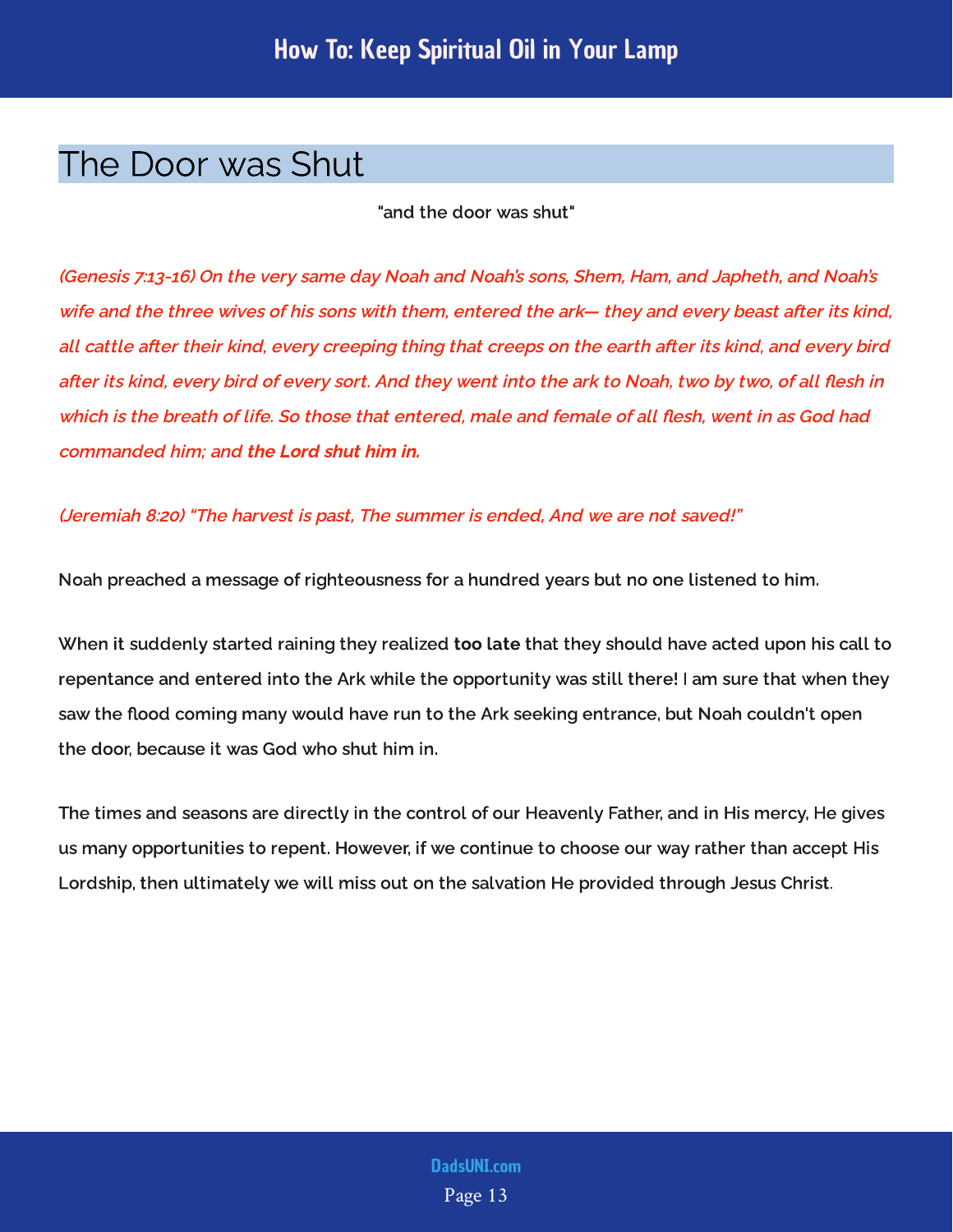#### <span id="page-13-0"></span>The Door was Shut

"and the door was shut"

(Genesis 7:13-16) On the very same day Noah and Noah's sons, Shem, Ham, and Japheth, and Noah's wife and the three wives of his sons with them, entered the ark— they and every beast after its kind, all cattle after their kind, every creeping thing that creeps on the earth after its kind, and every bird after its kind, every bird of every sort. And they went into the ark to Noah, two by two, of all flesh in which is the breath of life. So those that entered, male and female of all flesh, went in as God had commanded him; and the Lord shut him in.

#### (Jeremiah 8:20) "The harvest is past, The summer is ended, And we are not saved!"

Noah preached a message of righteousness for a hundred years but no one listened to him.

When it suddenly started raining they realized too late that they should have acted upon his call to repentance and entered into the Ark while the opportunity was still there! I am sure that when they saw the flood coming many would have run to the Ark seeking entrance, but Noah couldn't open the door, because it was God who shut him in.

The times and seasons are directly in the control of our Heavenly Father, and in His mercy, He gives us many opportunities to repent. However, if we continue to choose our way rather than accept His Lordship, then ultimately we will miss out on the salvation He provided through Jesus Christ.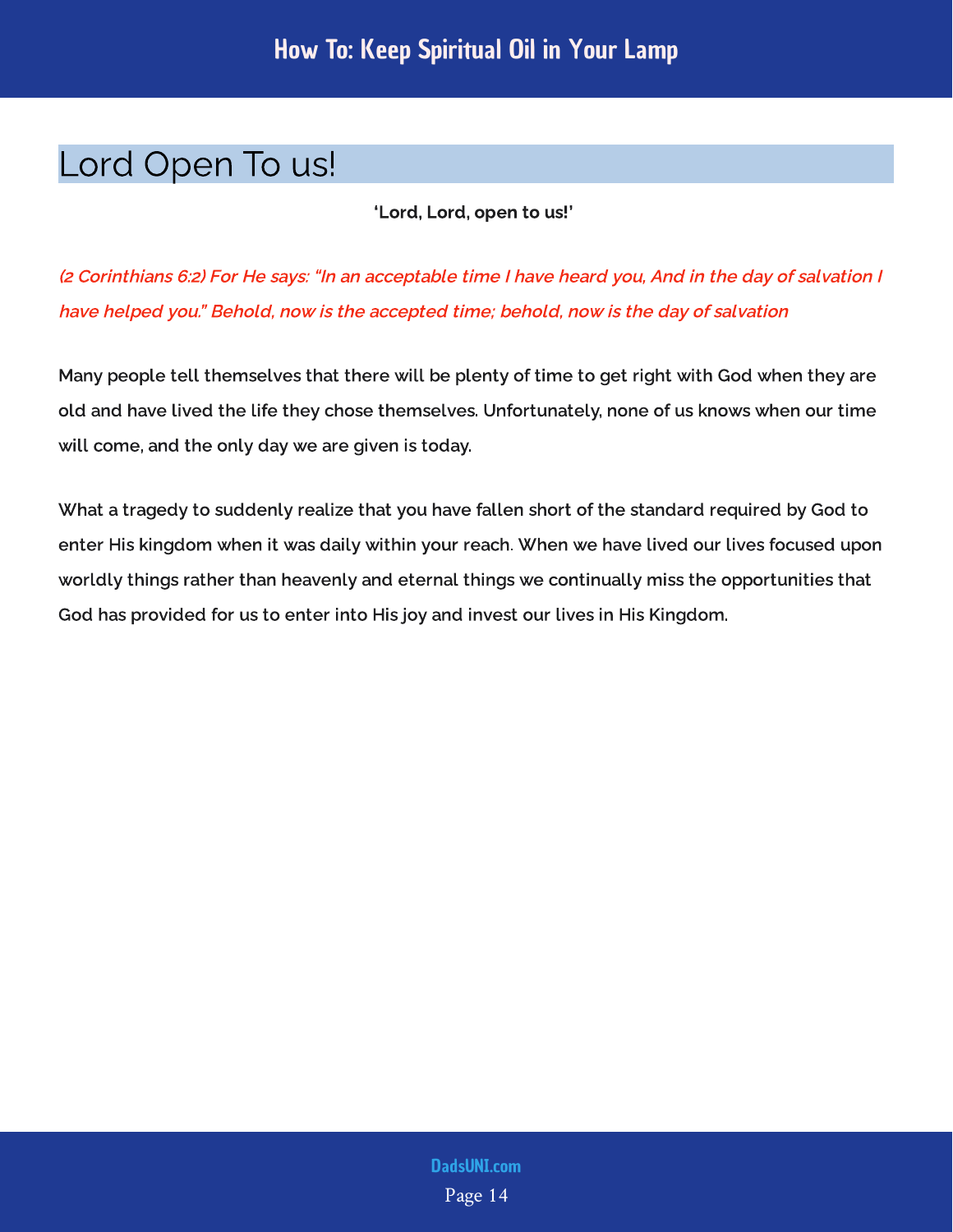#### <span id="page-14-0"></span>Lord Open To us!

'Lord, Lord, open to us!'

(2 Corinthians 6:2) For He says: "In an acceptable time I have heard you, And in the day of salvation I have helped you." Behold, now is the accepted time; behold, now is the day of salvation

Many people tell themselves that there will be plenty of time to get right with God when they are old and have lived the life they chose themselves. Unfortunately, none of us knows when our time will come, and the only day we are given is today.

What a tragedy to suddenly realize that you have fallen short of the standard required by God to enter His kingdom when it was daily within your reach. When we have lived our lives focused upon worldly things rather than heavenly and eternal things we continually miss the opportunities that God has provided for us to enter into His joy and invest our lives in His Kingdom.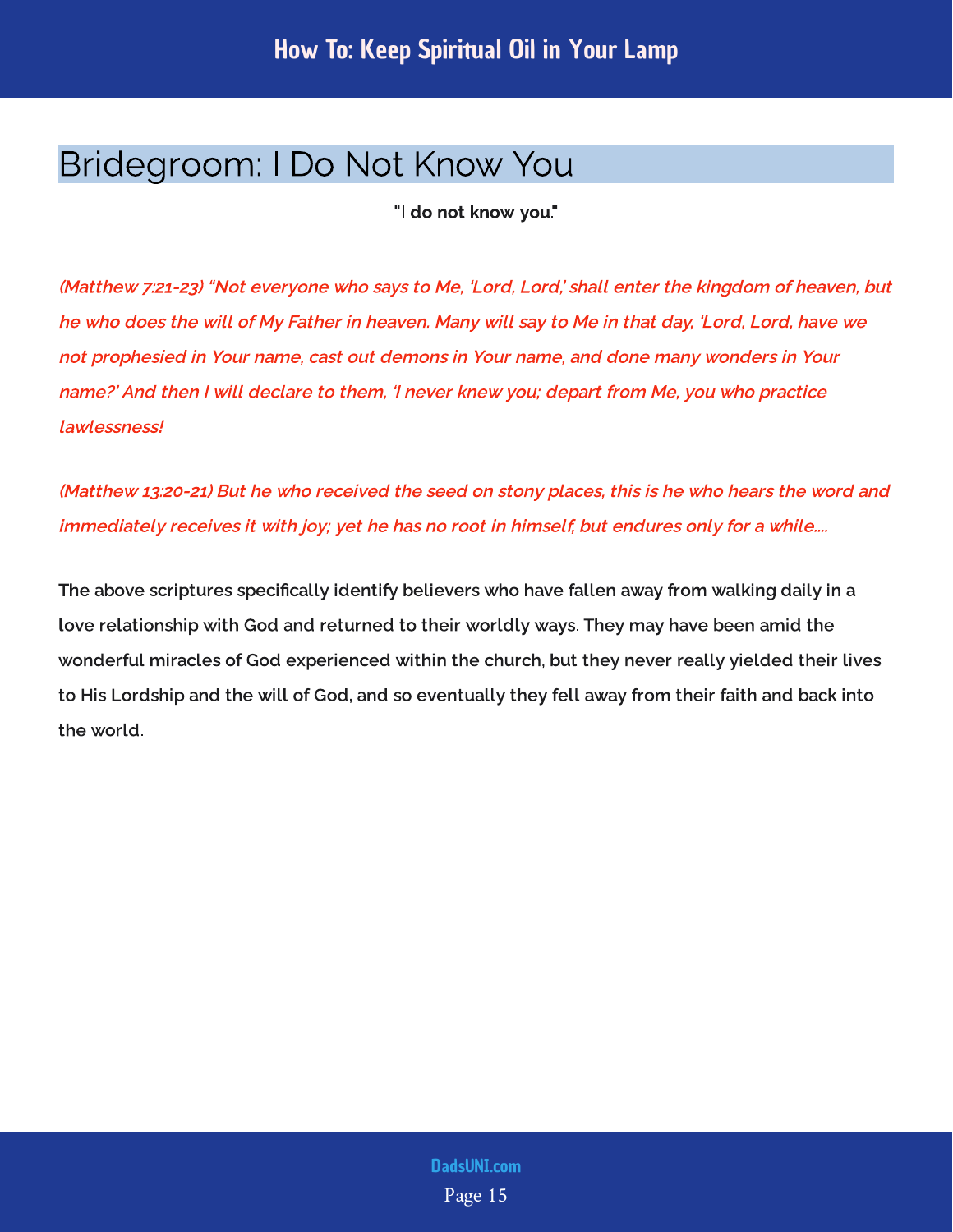#### <span id="page-15-0"></span>Bridegroom: I Do Not Know You

"I do not know you."

(Matthew 7:21-23) "Not everyone who says to Me, 'Lord, Lord,' shall enter the kingdom of heaven, but he who does the will of My Father in heaven. Many will say to Me in that day, 'Lord, Lord, have we not prophesied in Your name, cast out demons in Your name, and done many wonders in Your name?' And then I will declare to them, 'I never knew you; depart from Me, you who practice lawlessness!

(Matthew 13:20-21) But he who received the seed on stony places, this is he who hears the word and immediately receives it with joy; yet he has no root in himself, but endures only for a while....

The above scriptures specifically identify believers who have fallen away from walking daily in a love relationship with God and returned to their worldly ways. They may have been amid the wonderful miracles of God experienced within the church, but they never really yielded their lives to His Lordship and the will of God, and so eventually they fell away from their faith and back into the world.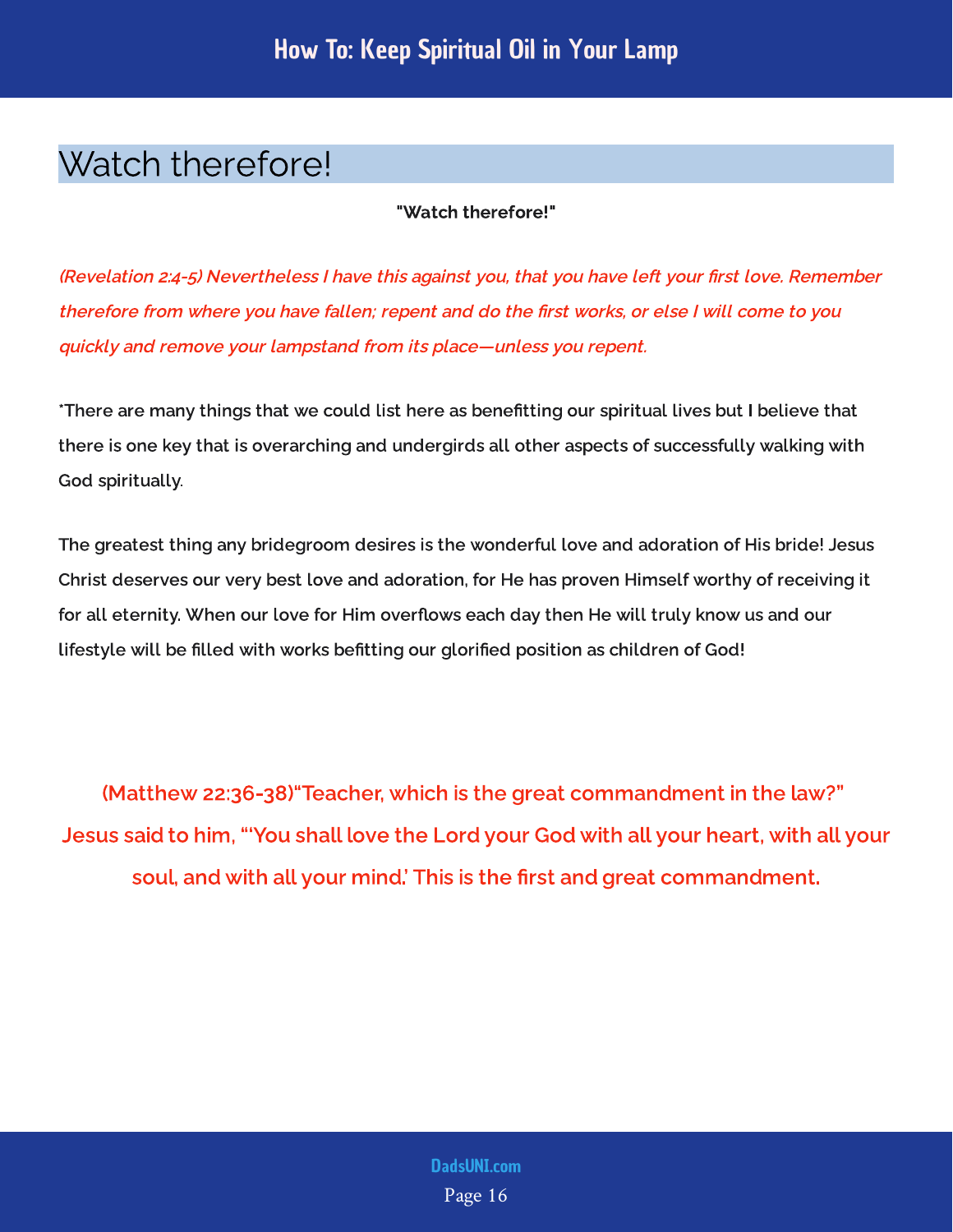### <span id="page-16-0"></span>Watch therefore!

"Watch therefore!"

(Revelation 2:4-5) Nevertheless I have this against you, that you have left your first love. Remember therefore from where you have fallen; repent and do the first works, or else I will come to you quickly and remove your lampstand from its place—unless you repent.

\*There are many things that we could list here as benefitting our spiritual lives but I believe that there is one key that is overarching and undergirds all other aspects of successfully walking with God spiritually.

The greatest thing any bridegroom desires is the wonderful love and adoration of His bride! Jesus Christ deserves our very best love and adoration, for He has proven Himself worthy of receiving it for all eternity. When our love for Him overflows each day then He will truly know us and our lifestyle will be filled with works befitting our glorified position as children of God!

(Matthew 22:36-38)"Teacher, which is the great commandment in the law?" Jesus said to him, "'You shall love the Lord your God with all your heart, with all your soul, and with all your mind.' This is the first and great commandment.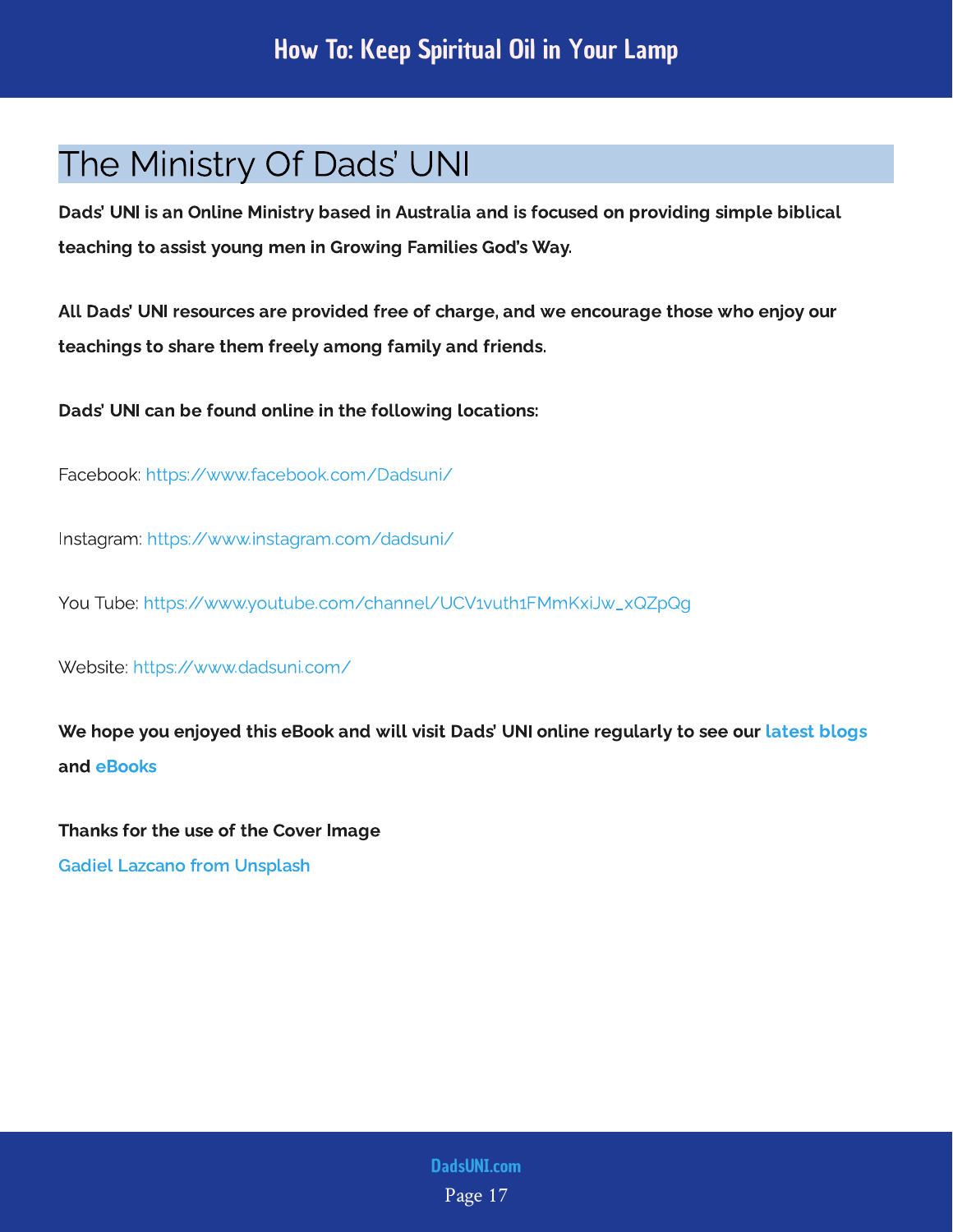#### <span id="page-17-0"></span>The Ministry Of Dads' UNI

Dads' UNI is an Online Ministry based in Australia and is focused on providing simple biblical teaching to assist young men in Growing Families God's Way.

All Dads' UNI resources are provided free of charge, and we encourage those who enjoy our teachings to share them freely among family and friends.

Dads' UNI can be found online in the following locations:

Facebook: <https://www.facebook.com/Dadsuni/>

Instagram:<https://www.instagram.com/dadsuni/>

You Tube: [https://www.youtube.com/channel/UCV1vuth1FMmKxiJw\\_xQZpQg](https://www.youtube.com/channel/UCV1vuth1FMmKxiJw_xQZpQg)

Website: <https://www.dadsuni.com/>

We hope you enjoyed this eBook and will visit Dads' UNI online regularly to see our [latest blogs](https://www.dadsuni.com/parenting-blog) and [eBooks](https://www.dadsuni.com/ebook-library)

Thanks for the use of the Cover Image

[Gadiel Lazcano from Unsplash](https://unsplash.com/@gadiellv)

Page 17 [DadsUNI.com](https://www.dadsuni.com/)